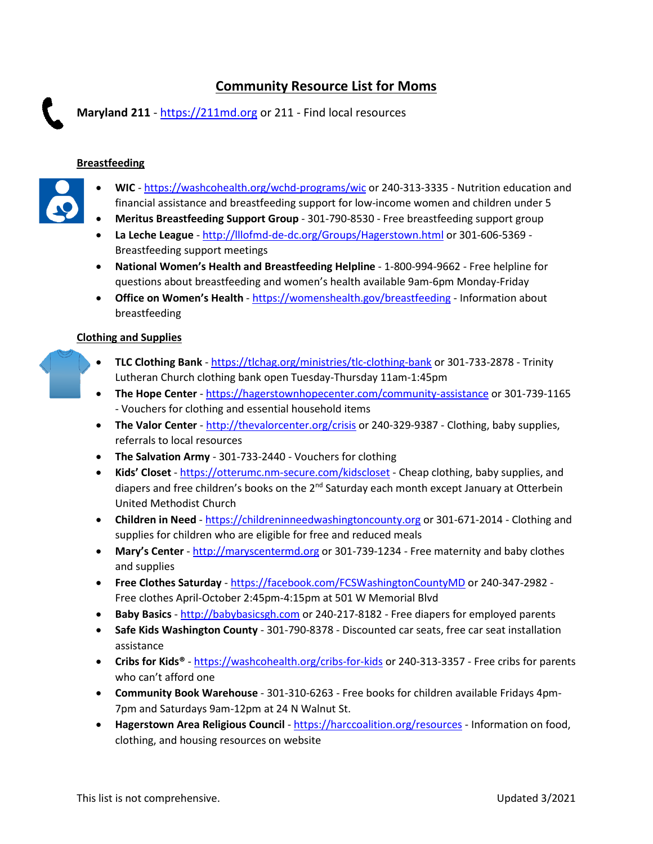# **Community Resource List for Moms**

**Maryland 211** - [https://211md.org](https://211md.org/) or 211 - Find local resources

## **Breastfeeding**

- 
- **WIC** [https://washcohealth.org/wchd-programs/wic](https://washcohealth.org/wchd-programs/wic/) or 240-313-3335 Nutrition education and financial assistance and breastfeeding support for low-income women and children under 5
- **Meritus Breastfeeding Support Group** 301-790-8530 Free breastfeeding support group
- **La Leche League** <http://lllofmd-de-dc.org/Groups/Hagerstown.html> or 301-606-5369 Breastfeeding support meetings
- **National Women's Health and Breastfeeding Helpline** 1-800-994-9662 Free helpline for questions about breastfeeding and women's health available 9am-6pm Monday-Friday
- **Office on Women's Health** <https://womenshealth.gov/breastfeeding> Information about breastfeeding

# **Clothing and Supplies**

- **TLC Clothing Bank** [https://tlchag.org/ministries/tlc-clothing-bank](https://tlchag.org/ministries/tlc-clothing-bank/) or 301-733-2878 Trinity Lutheran Church clothing bank open Tuesday-Thursday 11am-1:45pm
- **The Hope Center** [https://hagerstownhopecenter.com/community-assistance](https://hagerstownhopecenter.com/community-assistance%20or%20301-739-1165) or 301-739-1165 - Vouchers for clothing and essential household items
- **The Valor Center** [http://thevalorcenter.org/crisis](http://thevalorcenter.org/crisis%20or%20240-329-9387) or 240-329-9387 Clothing, baby supplies, referrals to local resources
- **The Salvation Army** 301-733-2440 Vouchers for clothing
- **Kids' Closet** <https://otterumc.nm-secure.com/kidscloset> Cheap clothing, baby supplies, and diapers and free children's books on the  $2^{nd}$  Saturday each month except January at Otterbein United Methodist Church
- **Children in Need** [https://childreninneedwashingtoncounty.org](https://childreninneedwashingtoncounty.org/) or 301-671-2014 Clothing and supplies for children who are eligible for free and reduced meals
- **Mary's Center** [http://maryscentermd.org](http://maryscentermd.org/) or 301-739-1234 Free maternity and baby clothes and supplies
- **Free Clothes Saturday**  <https://facebook.com/FCSWashingtonCountyMD> or 240-347-2982 Free clothes April-October 2:45pm-4:15pm at 501 W Memorial Blvd
- **Baby Basics**  [http://babybasicsgh.com](http://babybasicsgh.com/) or 240-217-8182 Free diapers for employed parents
- **Safe Kids Washington County** 301-790-8378 Discounted car seats, free car seat installation assistance
- **Cribs for Kids®** <https://washcohealth.org/cribs-for-kids> or 240-313-3357 Free cribs for parents who can't afford one
- **Community Book Warehouse**  301-310-6263 Free books for children available Fridays 4pm-7pm and Saturdays 9am-12pm at 24 N Walnut St.
- **Hagerstown Area Religious Council** <https://harccoalition.org/resources> Information on food, clothing, and housing resources on website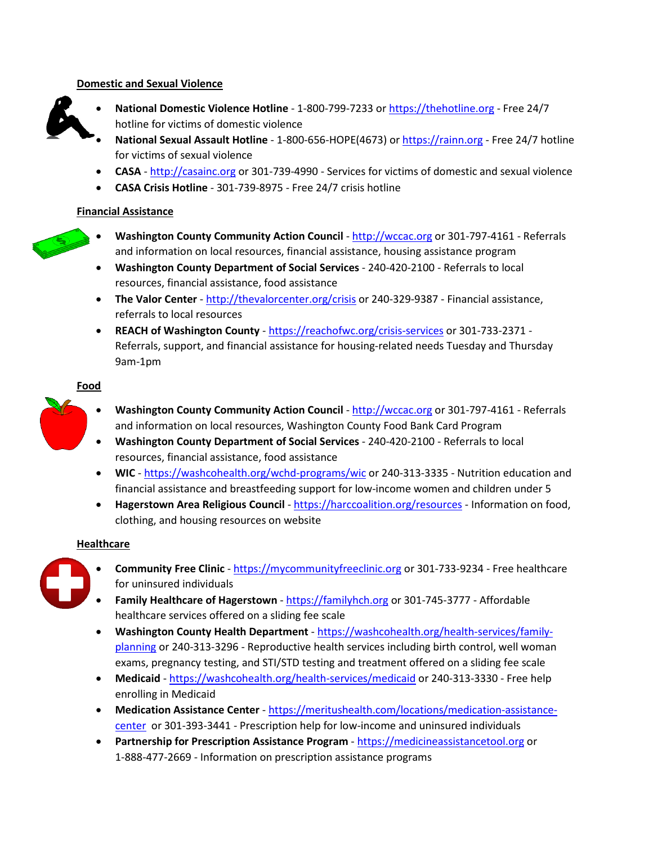## **Domestic and Sexual Violence**



- **National Domestic Violence Hotline** 1-800-799-7233 o[r https://thehotline.org](https://thehotline.org/) Free 24/7 hotline for victims of domestic violence
- **National Sexual Assault Hotline** 1-800-656-HOPE(4673) o[r https://rainn.org](https://rainn.org/) Free 24/7 hotline for victims of sexual violence
- **CASA**  [http://casainc.org](http://casainc.org/) or 301-739-4990 Services for victims of domestic and sexual violence
- **CASA Crisis Hotline** 301-739-8975 Free 24/7 crisis hotline

## **Financial Assistance**

- **Washington County Community Action Council** [http://wccac.org](http://wccac.org/) or 301-797-4161 Referrals and information on local resources, financial assistance, housing assistance program
- **Washington County Department of Social Services** 240-420-2100 Referrals to local resources, financial assistance, food assistance
- The Valor Center [http://thevalorcenter.org/crisis](http://thevalorcenter.org/crisis%20or%20240-329-9387) or 240-329-9387 Financial assistance, referrals to local resources
- **REACH of Washington County** [https://reachofwc.org/crisis-services](https://reachofwc.org/crisis-services/) or 301-733-2371 Referrals, support, and financial assistance for housing-related needs Tuesday and Thursday 9am-1pm

#### **Food**

- **Washington County Community Action Council** [http://wccac.org](http://wccac.org/) or 301-797-4161 Referrals and information on local resources, Washington County Food Bank Card Program
- **Washington County Department of Social Services** 240-420-2100 Referrals to local resources, financial assistance, food assistance
- **WIC** [https://washcohealth.org/wchd-programs/wic](https://washcohealth.org/wchd-programs/wic/) or 240-313-3335 Nutrition education and financial assistance and breastfeeding support for low-income women and children under 5
- **Hagerstown Area Religious Council** <https://harccoalition.org/resources> Information on food, clothing, and housing resources on website

#### **Healthcare**

- 
- **Community Free Clinic** [https://mycommunityfreeclinic.org](https://mycommunityfreeclinic.org/) or 301-733-9234 Free healthcare for uninsured individuals
- **Family Healthcare of Hagerstown** [https://familyhch.org](https://familyhch.org/) or 301-745-3777 Affordable healthcare services offered on a sliding fee scale
- **Washington County Health Department** [https://washcohealth.org/health-services/family](https://washcohealth.org/health-services/family-planning/)[planning](https://washcohealth.org/health-services/family-planning/) or 240-313-3296 - Reproductive health services including birth control, well woman exams, pregnancy testing, and STI/STD testing and treatment offered on a sliding fee scale
- Medicaid [https://washcohealth.org/health-services/medicaid](https://washcohealth.org/health-services/medicaid/) or 240-313-3330 Free help enrolling in Medicaid
- **Medication Assistance Center**  [https://meritushealth.com/locations/medication-assistance](https://meritushealth.com/locations/medication-assistance-center/)[center](https://meritushealth.com/locations/medication-assistance-center/) or 301-393-3441 - Prescription help for low-income and uninsured individuals
- **Partnership for Prescription Assistance Program**  [https://medicineassistancetool.org](https://medicineassistancetool.org/) or 1-888-477-2669 - Information on prescription assistance programs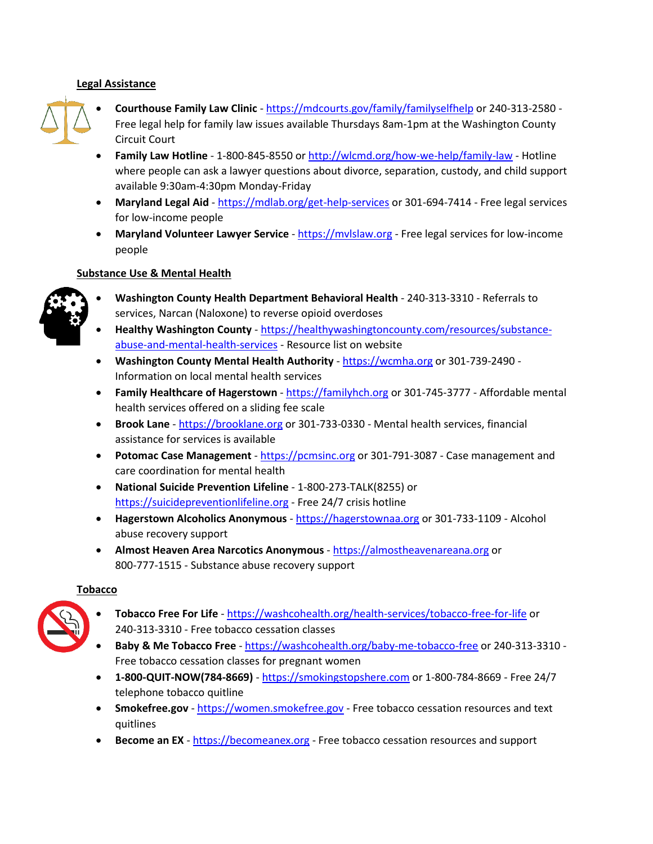## **Legal Assistance**



- **Courthouse Family Law Clinic** <https://mdcourts.gov/family/familyselfhelp> or 240-313-2580 Free legal help for family law issues available Thursdays 8am-1pm at the Washington County Circuit Court
- **Family Law Hotline** 1-800-845-8550 or<http://wlcmd.org/how-we-help/family-law> Hotline where people can ask a lawyer questions about divorce, separation, custody, and child support available 9:30am-4:30pm Monday-Friday
- **Maryland Legal Aid** <https://mdlab.org/get-help-services> or 301-694-7414 Free legal services for low-income people
- **Maryland Volunteer Lawyer Service** [https://mvlslaw.org](https://mvlslaw.org/) Free legal services for low-income people

# **Substance Use & Mental Health**



- **Washington County Health Department Behavioral Health** 240-313-3310 Referrals to services, Narcan (Naloxone) to reverse opioid overdoses
- **Healthy Washington County** [https://healthywashingtoncounty.com/resources/substance](https://healthywashingtoncounty.com/resources/substance-abuse-and-mental-health-services)[abuse-and-mental-health-services](https://healthywashingtoncounty.com/resources/substance-abuse-and-mental-health-services) - Resource list on website
- **Washington County Mental Health Authority** [https://wcmha.org](https://wcmha.org/) or 301-739-2490 Information on local mental health services
- **Family Healthcare of Hagerstown** [https://familyhch.org](https://familyhch.org/) or 301-745-3777 Affordable mental health services offered on a sliding fee scale
- **Brook Lane**  [https://brooklane.org](https://brooklane.org/) or 301-733-0330 Mental health services, financial assistance for services is available
- **Potomac Case Management** [https://pcmsinc.org](https://pcmsinc.org/) or 301-791-3087 Case management and care coordination for mental health
- **National Suicide Prevention Lifeline** 1-800-273-TALK(8255) or [https://suicidepreventionlifeline.org](https://suicidepreventionlifeline.org/) - Free 24/7 crisis hotline
- **Hagerstown Alcoholics Anonymous** [https://hagerstownaa.org](https://hagerstownaa.org/) or 301-733-1109 Alcohol abuse recovery support
- **Almost Heaven Area Narcotics Anonymous**  [https://almostheavenareana.org](https://almostheavenareana.org/) or 800-777-1515 - Substance abuse recovery support

# **Tobacco**



- **Tobacco Free For Life** [https://washcohealth.org/health-services/tobacco-free-for-life](https://washcohealth.org/health-services/tobacco-free-for-life/) or 240-313-3310 - Free tobacco cessation classes
- **Baby & Me Tobacco Free** [https://washcohealth.org/baby-me-tobacco-free](https://washcohealth.org/baby-me-tobacco-free/) or 240-313-3310 Free tobacco cessation classes for pregnant women
- **1-800-QUIT-NOW(784-8669)** [https://smokingstopshere.com](https://smokingstopshere.com/) or 1-800-784-8669 Free 24/7 telephone tobacco quitline
- **Smokefree.gov** [https://women.smokefree.gov](https://women.smokefree.gov/) Free tobacco cessation resources and text quitlines
- **Become an EX** [https://becomeanex.org](https://becomeanex.org/) Free tobacco cessation resources and support